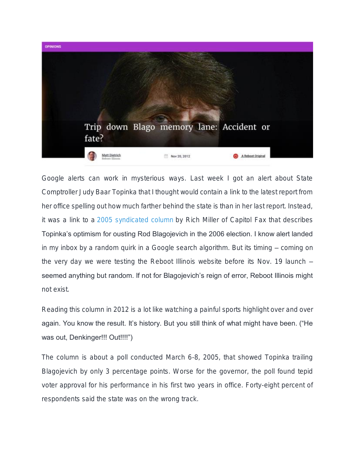

Google alerts can work in mysterious ways. Last week I got an alert about State Comptroller Judy Baar Topinka that I thought would contain a link to the latest report from her office spelling out how much farther behind the state is than in her last report. Instead, it was a link to a [2005 syndicated column](http://www.illinoistimes.com/Springfield/article-1911-a-run-for-his-money.html) by Rich Miller of Capitol Fax that describes Topinka's optimism for ousting Rod Blagojevich in the 2006 election. I know alert landed in my inbox by a random quirk in a Google search algorithm. But its timing – coming on the very day we were testing the Reboot Illinois website before its Nov. 19 launch – seemed anything but random. If not for Blagojevich's reign of error, Reboot Illinois might not exist.

Reading this column in 2012 is a lot like watching a painful sports highlight over and over again. You know the result. It's history. But you still think of what might have been. ("He was out, Denkinger!!! Out!!!!")

The column is about a poll conducted March 6-8, 2005, that showed Topinka trailing Blagojevich by only 3 percentage points. Worse for the governor, the poll found tepid voter approval for his performance in his first two years in office. Forty-eight percent of respondents said the state was on the wrong track.